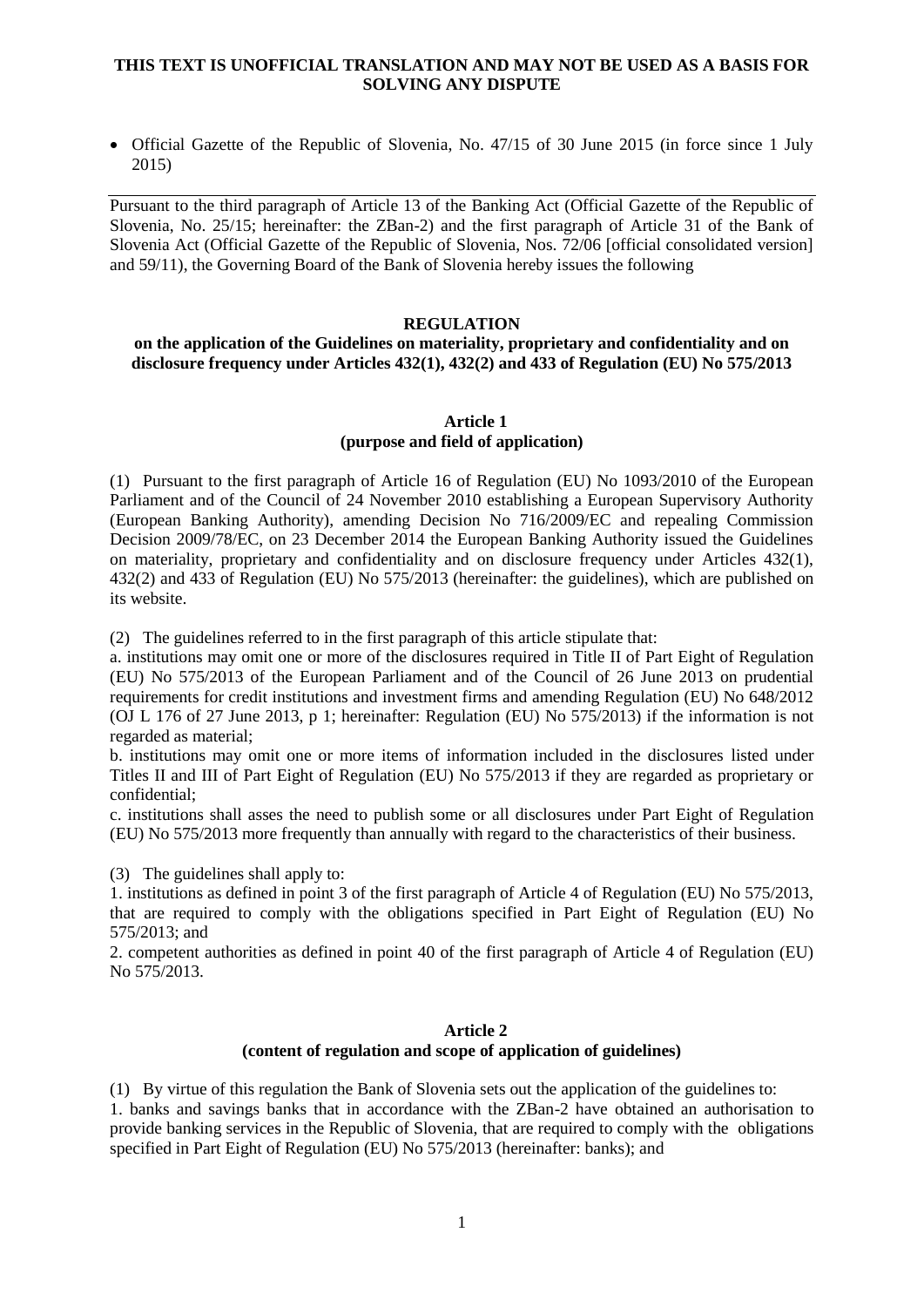## **THIS TEXT IS UNOFFICIAL TRANSLATION AND MAY NOT BE USED AS A BASIS FOR SOLVING ANY DISPUTE**

• Official Gazette of the Republic of Slovenia, No. 47/15 of 30 June 2015 (in force since 1 July 2015)

Pursuant to the third paragraph of Article 13 of the Banking Act (Official Gazette of the Republic of Slovenia, No. 25/15; hereinafter: the ZBan-2) and the first paragraph of Article 31 of the Bank of Slovenia Act (Official Gazette of the Republic of Slovenia, Nos. 72/06 [official consolidated version] and 59/11), the Governing Board of the Bank of Slovenia hereby issues the following

### **REGULATION**

#### **on the application of the Guidelines on materiality, proprietary and confidentiality and on disclosure frequency under Articles 432(1), 432(2) and 433 of Regulation (EU) No 575/2013**

#### **Article 1 (purpose and field of application)**

(1) Pursuant to the first paragraph of Article 16 of Regulation (EU) No 1093/2010 of the European Parliament and of the Council of 24 November 2010 establishing a European Supervisory Authority (European Banking Authority), amending Decision No 716/2009/EC and repealing Commission Decision 2009/78/EC, on 23 December 2014 the European Banking Authority issued the Guidelines on materiality, proprietary and confidentiality and on disclosure frequency under Articles 432(1), 432(2) and 433 of Regulation (EU) No 575/2013 (hereinafter: the guidelines), which are published on its website.

(2) The guidelines referred to in the first paragraph of this article stipulate that:

a. institutions may omit one or more of the disclosures required in Title II of Part Eight of Regulation (EU) No 575/2013 of the European Parliament and of the Council of 26 June 2013 on prudential requirements for credit institutions and investment firms and amending Regulation (EU) No 648/2012 (OJ L 176 of 27 June 2013, p 1; hereinafter: Regulation (EU) No 575/2013) if the information is not regarded as material;

b. institutions may omit one or more items of information included in the disclosures listed under Titles II and III of Part Eight of Regulation (EU) No 575/2013 if they are regarded as proprietary or confidential;

c. institutions shall asses the need to publish some or all disclosures under Part Eight of Regulation (EU) No 575/2013 more frequently than annually with regard to the characteristics of their business.

(3) The guidelines shall apply to:

1. institutions as defined in point 3 of the first paragraph of Article 4 of Regulation (EU) No 575/2013, that are required to comply with the obligations specified in Part Eight of Regulation (EU) No 575/2013; and

2. competent authorities as defined in point 40 of the first paragraph of Article 4 of Regulation (EU) No 575/2013.

### **Article 2 (content of regulation and scope of application of guidelines)**

(1) By virtue of this regulation the Bank of Slovenia sets out the application of the guidelines to: 1. banks and savings banks that in accordance with the ZBan-2 have obtained an authorisation to provide banking services in the Republic of Slovenia, that are required to comply with the obligations specified in Part Eight of Regulation (EU) No 575/2013 (hereinafter: banks); and